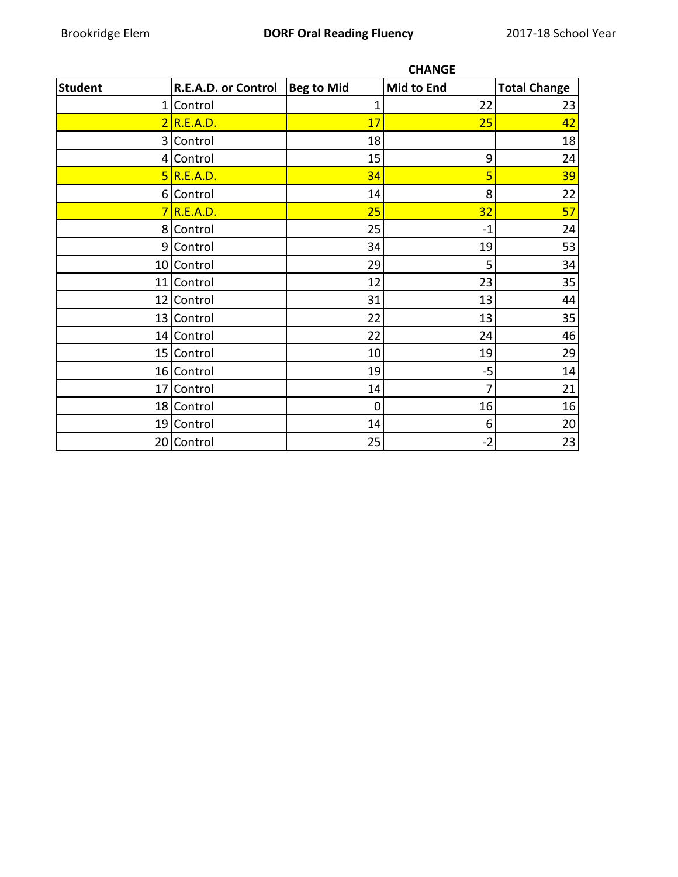|                 |                     |                   | <b>CHANGE</b> |                     |
|-----------------|---------------------|-------------------|---------------|---------------------|
| <b>Student</b>  | R.E.A.D. or Control | <b>Beg to Mid</b> | Mid to End    | <b>Total Change</b> |
| 1               | Control             | 1                 | 22            | 23                  |
|                 | $2$ R.E.A.D.        | 17                | 25            | 42                  |
|                 | 3 Control           | 18                |               | 18                  |
|                 | 4 Control           | 15                | 9             | 24                  |
|                 | 5 R.E.A.D.          | 34                | 5             | 39                  |
|                 | 6 Control           | 14                | 8             | 22                  |
|                 | 7 R.E.A.D.          | 25                | 32            | 57                  |
|                 | 8 Control           | 25                | $-1$          | 24                  |
|                 | 9 Control           | 34                | 19            | 53                  |
|                 | 10 Control          | 29                | 5             | 34                  |
| 11              | Control             | 12                | 23            | 35                  |
|                 | 12 Control          | 31                | 13            | 44                  |
|                 | 13 Control          | 22                | 13            | 35                  |
|                 | 14 Control          | 22                | 24            | 46                  |
|                 | 15 Control          | 10                | 19            | 29                  |
|                 | 16 Control          | 19                | $-5$          | 14                  |
| 17 <sup>1</sup> | Control             | 14                |               | 21                  |
|                 | 18 Control          | 0                 | 16            | 16                  |
|                 | 19 Control          | 14                | 6             | 20                  |
|                 | 20 Control          | 25                | $-2$          | 23                  |